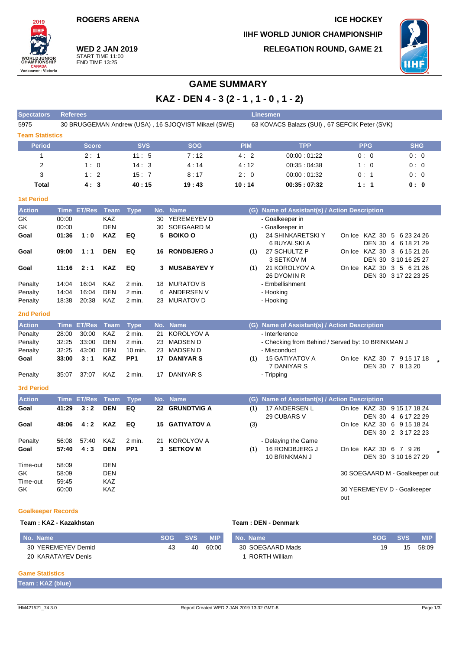**ROGERS ARENA ICE HOCKEY IIHF WORLD JUNIOR CHAMPIONSHIP RELEGATION ROUND, GAME 21**



**WED 2 JAN 2019** START TIME 11:00 END TIME 13:25

2019 **TIHE** 

**WORLDJUN**<br>CHAMPIONS

**CANADA**<br>Vancouver - Victoria

# **GAME SUMMARY**

**KAZ - DEN 4 - 3 (2 - 1 , 1 - 0 , 1 - 2)**

| <b>Spectators</b>      | <b>Linesmen</b><br><b>Referees</b> |                  |                          |                 |    |                                                                                                      |            |                                                   |                             |                                |  |  |  |  |  |
|------------------------|------------------------------------|------------------|--------------------------|-----------------|----|------------------------------------------------------------------------------------------------------|------------|---------------------------------------------------|-----------------------------|--------------------------------|--|--|--|--|--|
| 5975                   |                                    |                  |                          |                 |    | 30 BRUGGEMAN Andrew (USA), 16 SJOQVIST Mikael (SWE)<br>63 KOVACS Balazs (SUI), 67 SEFCIK Peter (SVK) |            |                                                   |                             |                                |  |  |  |  |  |
| <b>Team Statistics</b> |                                    |                  |                          |                 |    |                                                                                                      |            |                                                   |                             |                                |  |  |  |  |  |
| <b>Period</b>          |                                    | <b>Score</b>     |                          | <b>SVS</b>      |    | <b>SOG</b>                                                                                           | <b>PIM</b> | <b>TPP</b>                                        | <b>PPG</b>                  | <b>SHG</b>                     |  |  |  |  |  |
| 1                      |                                    | 2:1              |                          | 11:5            |    | 7:12                                                                                                 | 4:2        | 00:00:01:22                                       | 0:0                         | 0:0                            |  |  |  |  |  |
| $\overline{2}$         |                                    | 1:0              |                          | 14:3            |    | 4:14                                                                                                 | 4:12       | 00:35:04:38                                       | 1:0                         | 0: 0                           |  |  |  |  |  |
| 3                      |                                    | 1:2              |                          | 15:7            |    | 8:17                                                                                                 | 2:0        | 00:00:01:32                                       | 0:1                         | 0:0                            |  |  |  |  |  |
| <b>Total</b>           |                                    | 4:3              |                          | 40:15           |    | 19:43                                                                                                | 10:14      | 00:35:07:32                                       | 1:1                         | 0: 0                           |  |  |  |  |  |
| <b>1st Period</b>      |                                    |                  |                          |                 |    |                                                                                                      |            |                                                   |                             |                                |  |  |  |  |  |
| <b>Action</b>          |                                    | Time ET/Res Team |                          | <b>Type</b>     |    | No. Name                                                                                             |            | (G) Name of Assistant(s) / Action Description     |                             |                                |  |  |  |  |  |
| GK                     | 00:00                              |                  | <b>KAZ</b>               |                 | 30 | YEREMEYEV D                                                                                          |            | - Goalkeeper in                                   |                             |                                |  |  |  |  |  |
| GK                     | 00:00                              |                  | <b>DEN</b>               |                 | 30 | <b>SOEGAARD M</b>                                                                                    |            | - Goalkeeper in                                   |                             |                                |  |  |  |  |  |
| Goal                   | 01:36                              | 1:0              | <b>KAZ</b>               | EQ              | 5  | <b>BOIKO O</b>                                                                                       | (1)        | 24 SHINKARETSKI Y                                 | On Ice KAZ 30 5 6 23 24 26  |                                |  |  |  |  |  |
|                        |                                    |                  |                          |                 |    |                                                                                                      |            | 6 BUYALSKI A                                      |                             | DEN 30 4 6 18 21 29            |  |  |  |  |  |
| Goal                   | 09:00                              | 1:1              | <b>DEN</b>               | EQ              | 16 | <b>RONDBJERG J</b>                                                                                   | (1)        | 27 SCHULTZ P                                      | On Ice KAZ 30 3 6 15 21 26  |                                |  |  |  |  |  |
|                        |                                    |                  |                          |                 |    |                                                                                                      |            | 3 SETKOV M                                        |                             | DEN 30 3 10 16 25 27           |  |  |  |  |  |
| Goal                   | 11:16                              | 2:1              | <b>KAZ</b>               | EQ              | 3  | <b>MUSABAYEVY</b>                                                                                    | (1)        | 21 KOROLYOV A                                     | On Ice KAZ 30 3 5 6 21 26   |                                |  |  |  |  |  |
| Penalty                | 14:04                              | 16:04            | <b>KAZ</b>               | $2$ min.        |    | 18 MURATOV B                                                                                         |            | 26 DYOMIN R<br>- Embellishment                    |                             | DEN 30 3 17 22 23 25           |  |  |  |  |  |
| Penalty                | 14:04                              | 16:04            | <b>DEN</b>               | $2$ min.        | 6  | ANDERSEN V                                                                                           |            | - Hooking                                         |                             |                                |  |  |  |  |  |
| Penalty                | 18:38                              | 20:38            | KAZ                      | 2 min.          | 23 | <b>MURATOV D</b>                                                                                     |            | - Hooking                                         |                             |                                |  |  |  |  |  |
|                        |                                    |                  |                          |                 |    |                                                                                                      |            |                                                   |                             |                                |  |  |  |  |  |
| <b>2nd Period</b>      |                                    |                  |                          |                 |    |                                                                                                      |            |                                                   |                             |                                |  |  |  |  |  |
| <b>Action</b>          |                                    | Time ET/Res      | Team                     | <b>Type</b>     |    | No. Name                                                                                             |            | (G) Name of Assistant(s) / Action Description     |                             |                                |  |  |  |  |  |
| Penalty                | 28:00                              | 30:00            | KAZ                      | $2$ min.        | 21 | <b>KOROLYOV A</b>                                                                                    |            | - Interference                                    |                             |                                |  |  |  |  |  |
| Penalty                | 32:25                              | 33:00            | <b>DEN</b>               | $2$ min.        | 23 | <b>MADSEN D</b>                                                                                      |            | - Checking from Behind / Served by: 10 BRINKMAN J |                             |                                |  |  |  |  |  |
| Penalty                | 32:25                              | 43:00            | <b>DEN</b>               | 10 min.         | 23 | MADSEN D                                                                                             |            | - Misconduct                                      |                             |                                |  |  |  |  |  |
| Goal                   | 33:00                              | 3:1              | <b>KAZ</b>               | PP <sub>1</sub> |    | 17 DANIYAR S                                                                                         | (1)        | <b>15 GATIYATOV A</b>                             | On Ice KAZ 30 7 9 15 17 18  |                                |  |  |  |  |  |
|                        |                                    |                  |                          |                 |    |                                                                                                      |            | 7 DANIYAR S                                       |                             | DEN 30 7 8 13 20               |  |  |  |  |  |
| Penalty                | 35:07                              | 37:07            | KAZ                      | 2 min.          |    | 17 DANIYAR S                                                                                         |            | - Tripping                                        |                             |                                |  |  |  |  |  |
| <b>3rd Period</b>      |                                    |                  |                          |                 |    |                                                                                                      |            |                                                   |                             |                                |  |  |  |  |  |
| <b>Action</b>          |                                    | Time ET/Res      | Team                     | <b>Type</b>     |    | No. Name                                                                                             |            | (G) Name of Assistant(s) / Action Description     |                             |                                |  |  |  |  |  |
| Goal                   | 41:29                              | 3:2              | <b>DEN</b>               | EQ              |    | 22 GRUNDTVIG A                                                                                       | (1)        | 17 ANDERSEN L                                     | On Ice KAZ 30 9 15 17 18 24 |                                |  |  |  |  |  |
|                        |                                    |                  |                          |                 |    |                                                                                                      |            | 29 CUBARS V                                       |                             | DEN 30 4 6 17 22 29            |  |  |  |  |  |
| Goal                   | 48:06                              | 4:2              | <b>KAZ</b>               | EQ              | 15 | <b>GATIYATOV A</b>                                                                                   | (3)        |                                                   | On Ice KAZ 30 6 9 15 18 24  |                                |  |  |  |  |  |
|                        |                                    |                  |                          |                 |    |                                                                                                      |            |                                                   |                             | DEN 30 2 3 17 22 23            |  |  |  |  |  |
| Penalty                | 56:08                              | 57:40            | <b>KAZ</b>               | 2 min.          | 21 | <b>KOROLYOV A</b>                                                                                    |            | - Delaying the Game                               |                             |                                |  |  |  |  |  |
| Goal                   | 57:40                              | 4:3              | <b>DEN</b>               | PP <sub>1</sub> |    | 3 SETKOV M                                                                                           | (1)        | 16 RONDBJERG J                                    | On Ice KAZ 30 6 7 9 26      |                                |  |  |  |  |  |
|                        |                                    |                  |                          |                 |    |                                                                                                      |            | 10 BRINKMAN J                                     |                             | DEN 30 3 10 16 27 29           |  |  |  |  |  |
| Time-out               | 58:09                              |                  | <b>DEN</b><br><b>DEN</b> |                 |    |                                                                                                      |            |                                                   |                             |                                |  |  |  |  |  |
| GK<br>Time-out         | 58:09<br>59:45                     |                  | <b>KAZ</b>               |                 |    |                                                                                                      |            |                                                   |                             | 30 SOEGAARD M - Goalkeeper out |  |  |  |  |  |
| GK                     | 60:00                              |                  | <b>KAZ</b>               |                 |    |                                                                                                      |            |                                                   | 30 YEREMEYEV D - Goalkeeper |                                |  |  |  |  |  |
|                        |                                    |                  |                          |                 |    |                                                                                                      |            |                                                   | out                         |                                |  |  |  |  |  |
|                        |                                    |                  |                          |                 |    |                                                                                                      |            |                                                   |                             |                                |  |  |  |  |  |

## **Goalkeeper Records**

**Team : KAZ - Kazakhstan Team : DEN - Denmark**

| No. Name           | <b>SOG</b> | SVS. | <b>MIP</b> | No. Name         | <b>SOG</b> | <b>SVS</b> | MIP.  |
|--------------------|------------|------|------------|------------------|------------|------------|-------|
| 30 YEREMEYEV Demid |            | 40   | 60:00      | 30 SOEGAARD Mads |            | 15         | 58:09 |
| 20 KARATAYEV Denis |            |      |            | RORTH William    |            |            |       |

### **Game Statistics**

| Team: KAZ (blue) |  |
|------------------|--|
|                  |  |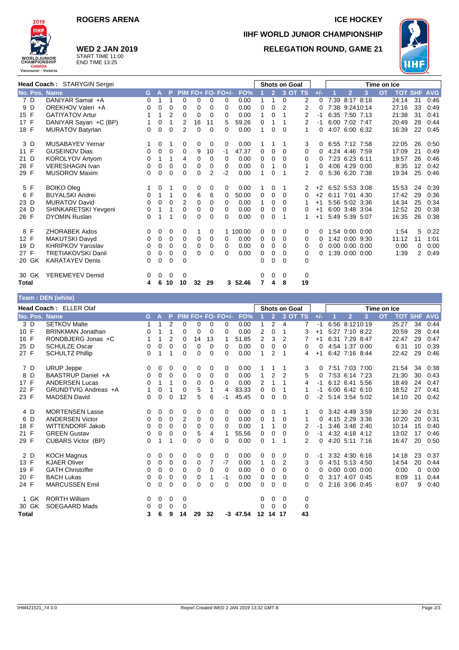

## **WED 2 JAN 2019**

START TIME 11:00 END TIME 13:25

## **ROGERS ARENA ICE HOCKEY IIHF WORLD JUNIOR CHAMPIONSHIP RELEGATION ROUND, GAME 21**



| Head Coach: STARYGIN Sergei |                           |          |             |             |                |    |          | <b>Shots on Goal</b><br>Time on Ice |          |          |                |                |                |          |                |                      |                |           |       |                |            |
|-----------------------------|---------------------------|----------|-------------|-------------|----------------|----|----------|-------------------------------------|----------|----------|----------------|----------------|----------------|----------|----------------|----------------------|----------------|-----------|-------|----------------|------------|
| No. Pos. Name               |                           | G.       | A           | P           |                |    |          | PIM FO+ FO- FO+/-                   | FO%      |          | $\overline{2}$ | 3 OT TS        |                | $+/-$    |                | $\overline{2}$       | 3              | <b>OT</b> |       | <b>TOT SHF</b> | <b>AVG</b> |
| 7 D                         | DANIYAR Samat +A          | $\Omega$ |             |             | 0              | 0  | 0        | 0                                   | 0.00     |          | 1              | $\Omega$       | 2              | $\Omega$ | 7:39           | 8:17 8:18            |                |           | 24:14 | 31             | 0:46       |
| 9 D                         | OREKHOV Valeri +A         | 0        | 0           | $\mathbf 0$ | 0              | 0  | 0        | 0                                   | 0.00     | 0        | $\Omega$       | $\overline{2}$ | 2              | 0        |                | 7:38 9:2410:14       |                |           | 27:16 | 33             | 0:49       |
| 15 F                        | <b>GATIYATOV Artur</b>    |          | 1           | 2           | 0              | 0  | 0        | 0                                   | 0.00     | 1        | 0              | 1              | 2              | -1       | 6:35           | 7:50 7:13            |                |           | 21:38 | 31             | 0:41       |
| 17 F                        | DANIYAR Sayan +C (BP)     |          | $\mathbf 0$ | 1           | 2              | 16 | 11       | 5                                   | 59.26    | 0        | 1              |                | 2              | $-1$     |                | 6:00 7:02 7:47       |                |           | 20:49 | 28             | 0:44       |
| 18 F                        | <b>MURATOV Batyrlan</b>   | 0        | $\Omega$    | $\Omega$    | $\overline{2}$ | 0  | 0        | 0                                   | 0.00     |          | $\Omega$       | $\Omega$       | 1              | 0        | 4:07           | 6:00 6:32            |                |           | 16:39 | 22             | 0:45       |
| 3 D                         | <b>MUSABAYEV Yernar</b>   |          | 0           |             | 0              | 0  | 0        | 0                                   | 0.00     |          |                |                | 3              | 0        |                | 6:55 7:12 7:58       |                |           | 22:05 | 26             | 0:50       |
| 11 F                        | <b>GUSEINOV Dias</b>      | 0        | 0           | 0           | 0              | 9  | 10       | $-1$                                | 47.37    | 0        | 0              | $\Omega$       | 0              | 0        |                | 4:24 4:46 7:59       |                |           | 17:09 | 21             | 0:49       |
| 21 D                        | <b>KOROLYOV Artyom</b>    | $\Omega$ | 1           | 1           | 4              | 0  | $\Omega$ | 0                                   | 0.00     | 0        | 0              | $\Omega$       | $\Omega$       | $\Omega$ |                | 7:23 6:23 6:11       |                |           | 19:57 | 26             | 0:46       |
| 28 F                        | <b>VERESHAGIN Ivan</b>    | 0        | 0           | 0           | 0              | 0  | 0        | 0                                   | 0.00     | 0        |                | $\Omega$       | 1              | 0        |                | 4:06 4:29 0:00       |                |           | 8:35  | 12             | 0:42       |
| 29 F                        | <b>MUSOROV Maxim</b>      | $\Omega$ | $\Omega$    | $\Omega$    | $\Omega$       | 0  | 2        | $-2$                                | 0.00     | 1        | $\Omega$       |                | $\overline{2}$ | $\Omega$ |                |                      | 5:36 6:20 7:38 |           | 19:34 | 25             | 0:46       |
| 5 F                         | <b>BOIKO Oleg</b>         |          | 0           |             | 0              | 0  | 0        | 0                                   | 0.00     |          | $\Omega$       | 1              | 2              | $+2$     | 6:52 5:53 3:08 |                      |                |           | 15:53 | 24             | 0:39       |
| 6 F                         | <b>BUYALSKI Andrei</b>    | 0        | 1           | 1           | 0              | 6  | 6        | $\Omega$                            | 50.00    | 0        | 0              | $\Omega$       | $\Omega$       | $+2$     |                | 6:11 7:01 4:30       |                |           | 17:42 | 29             | 0:36       |
| 23 D                        | <b>MURATOV David</b>      | 0        | 0           | 0           | $\overline{2}$ | 0  | 0        | 0                                   | 0.00     | 1        | 0              | 0              | 1              | $+1$     |                | 5:56 5:02 3:36       |                |           | 14:34 | 25             | 0:34       |
| 24 D                        | SHINKARETSKI Yevgeni      | 0        | 1           | 1           | 0              | 0  | 0        | $\Omega$                            | 0.00     | 0        | 0              | $\Omega$       | 0              | $+1$     |                | 6:00 3:48 3:04       |                |           | 12:52 | 20             | 0:38       |
| 26 F                        | <b>DYOMIN Ruslan</b>      | $\Omega$ |             |             | 0              | 0  | 0        | 0                                   | 0.00     | $\Omega$ | $\Omega$       |                | 1              | $+1$     |                | 5:49 5:39 5:07       |                |           | 16:35 | 26             | 0:38       |
| 8 F                         | <b>ZHORABEK Aidos</b>     | 0        | 0           | 0           | 0              | 1  | 0        |                                     | 1 100.00 | 0        | 0              | 0              | 0              | 0        |                | 1:54 0:00 0:00       |                |           | 1:54  | 5              | 0:22       |
| 12 F                        | MAKUTSKI Davyd            | 0        | 0           | 0           | 0              | 0  | 0        | 0                                   | 0.00     | 0        | 0              | 0              | 0              | 0        |                | 1:42 0:00 9:30       |                |           | 11:12 | 11             | 1:01       |
| 19 D                        | <b>KHRIPKOV Yaroslav</b>  | 0        | 0           | 0           | 0              | 0  | 0        | $\Omega$                            | 0.00     | 0        | 0              | $\Omega$       | 0              | 0        |                | $0:00$ $0:00$ $0:00$ |                |           | 0:00  | 0              | 0:00       |
| 27 F                        | <b>TRETIAKOVSKI Danil</b> | 0        | 0           | $\mathbf 0$ | 0              | 0  | 0        | 0                                   | 0.00     | 0        | $\mathbf 0$    | 0              | 0              | 0        | .39            | $0:00$ $0:00$        |                |           | 1:39  | $\overline{2}$ | 0:49       |
| 20 GK                       | <b>KARATAYEV Denis</b>    | $\Omega$ | $\Omega$    | $\Omega$    | $\Omega$       |    |          |                                     |          | 0        | $\Omega$       | $\Omega$       | $\Omega$       |          |                |                      |                |           |       |                |            |
| 30 GK                       | YEREMEYEV Demid           | 0        | 0           | 0           | 0              |    |          |                                     |          | 0        | 0              | 0              | 0              |          |                |                      |                |           |       |                |            |
| <b>Total</b>                |                           | 4        | 6           | 10          | 10             | 32 | 29       |                                     | 3 52.46  | 7        | 4              | 8              | 19             |          |                |                      |                |           |       |                |            |

|                        | Team: DEN (white)        |          |             |                |             |    |          |                          |       |                      |                |                |             |       |  |                      |   |           |                |          |            |
|------------------------|--------------------------|----------|-------------|----------------|-------------|----|----------|--------------------------|-------|----------------------|----------------|----------------|-------------|-------|--|----------------------|---|-----------|----------------|----------|------------|
| Head Coach: ELLER Olaf |                          |          |             |                |             |    |          |                          |       | <b>Shots on Goal</b> |                |                | Time on Ice |       |  |                      |   |           |                |          |            |
| No. Pos. Name          |                          | G.       | Α           | P              |             |    |          | <b>PIM FO+ FO- FO+/-</b> | FO%   |                      | $\overline{2}$ |                | 3 OT TS     | $+/-$ |  | $\overline{2}$       | 3 | <b>OT</b> | <b>TOT SHF</b> |          | <b>AVG</b> |
| 3 D                    | <b>SETKOV Malte</b>      | 1        | 1           | $\overline{2}$ | $\mathbf 0$ | 0  | 0        | 0                        | 0.00  | 1                    | $\overline{2}$ | $\overline{4}$ | 7           | -1    |  | 6:56 8:1210:19       |   |           | 25:27          | 34       | 0:44       |
| 10 F                   | <b>BRINKMAN Jonathan</b> | 0        | 1           |                | 0           | 0  | $\Omega$ | 0                        | 0.00  | $\overline{2}$       | 0              | 1              | 3           | $+1$  |  | 5:27 7:10 8:22       |   |           | 20:59          | 28       | 0:44       |
| 16 F                   | RONDBJERG Jonas +C       | 1        | 1           | $\overline{2}$ | 0           | 14 | 13       |                          | 51.85 | $\overline{2}$       | 3              | 2              |             | $+1$  |  | 6:31 7:29 8:47       |   |           | 22:47          | 29       | 0:47       |
| 25 D                   | <b>SCHULZE Oscar</b>     | 0        | 0           | 0              | $\mathbf 0$ | 0  | 0        | 0                        | 0.00  | 0                    | 0              | 0              | 0           | 0     |  | 4:54 1:37 0:00       |   |           | 6:31           | 10       | 0:39       |
| 27 F                   | <b>SCHULTZ Phillip</b>   | $\Omega$ | 1           | 1              | 0           | 0  | $\Omega$ | 0                        | 0.00  | 1                    | $\overline{2}$ | 1              | 4           | $+1$  |  | 6:42 7:16 8:44       |   |           | 22:42          | 29       | 0:46       |
| 7 D                    | <b>URUP Jeppe</b>        | 0        | 0           | 0              | 0           | 0  | 0        | 0                        | 0.00  |                      |                | 1              | 3           | 0     |  | 7:51 7:03 7:00       |   |           | 21:54          | 34       | 0:38       |
| 8 D                    | BAASTRUP Daniel +A       | 0        | 0           | 0              | 0           | 0  | 0        | $\Omega$                 | 0.00  | 1                    | $\overline{2}$ | $\overline{2}$ | 5           | 0     |  | 7:53 6:14 7:23       |   |           | 21:30          | 30       | 0:43       |
| 17 F                   | <b>ANDERSEN Lucas</b>    | 0        | 1           | 1              | 0           | 0  | 0        | 0                        | 0.00  | 2                    | 1              | 1              | 4           | -1    |  | 6:12 6:41 5:56       |   |           | 18:49          | 24       | 0:47       |
| 22 F                   | GRUNDTVIG Andreas +A     | 1        | $\Omega$    | 1              | 0           | 5  | 1        | 4                        | 83.33 | 0                    | 0              | 1              | 1           | -1    |  | 6:00 6:42 6:10       |   |           | 18:52          | 27       | 0:41       |
| 23 F                   | <b>MADSEN David</b>      | 0        | $\mathbf 0$ | 0              | 12          | 5  | 6        | -1                       | 45.45 | 0                    | 0              | $\Omega$       | 0           | $-2$  |  | 5:14 3:54 5:02       |   |           | 14:10          | 20       | 0:42       |
| 4 D                    | <b>MORTENSEN Lasse</b>   | 0        | 0           | 0              | 0           | 0  | 0        | 0                        | 0.00  | 0                    | 0              |                | 1.          | 0     |  | 3:42 4:49 3:59       |   |           | 12:30          | 24       | 0:31       |
| 6 D                    | <b>ANDERSEN Victor</b>   | 0        | 0           | 0              | 2           | 0  | 0        | $\Omega$                 | 0.00  | 0                    | 1              | $\Omega$       | 1           | 0     |  | 4:15 2:29 3:36       |   |           | 10:20          | 20       | 0:31       |
| 18 F                   | <b>WITTENDORF Jakob</b>  | 0        | 0           | $\mathbf 0$    | 0           | 0  | 0        | 0                        | 0.00  | 1                    | 1              | 0              | 2           | -1    |  | 3:46 3:48 2:40       |   |           | 10:14          | 15       | 0:40       |
| 21 F                   | <b>GREEN Gustav</b>      | 0        | 0           | 0              | 0           | 5  | 4        | 1                        | 55.56 | 0                    | 0              | 0              | 0           | -1    |  | 4:32 4:18 4:12       |   |           | 13:02          | 17       | 0:46       |
| 29 F                   | CUBARS Victor (BP)       | 0        | 1           | 1              | 0           | 0  | $\Omega$ | 0                        | 0.00  | $\Omega$             | 1              | 1              | 2           | 0     |  | 4:20 5:11 7:16       |   |           | 16:47          | 20       | 0:50       |
| 2 D                    | <b>KOCH Magnus</b>       | 0        | 0           | 0              | 0           | 0  | 0        | 0                        | 0.00  | 0                    | 0              | 0              | 0           | -1    |  | 3:32 4:30 6:16       |   |           | 14:18          | 23       | 0:37       |
| 13 F                   | <b>KJAER Oliver</b>      | 0        | 0           | $\mathbf 0$    | $\mathbf 0$ | 0  | 7        | $-7$                     | 0.00  | 1                    | 0              | $\overline{2}$ | 3           | 0     |  | 4:51 5:13 4:50       |   |           | 14:54          | 20       | 0:44       |
| 19 F                   | <b>GATH Christoffer</b>  | 0        | 0           | 0              | $\mathbf 0$ | 0  | 0        | $\Omega$                 | 0.00  | 0                    | 0              | $\Omega$       | 0           | 0     |  | $0:00$ $0:00$ $0:00$ |   |           | 0:00           | $\Omega$ | 0:00       |
| 20 F                   | <b>BACH Lukas</b>        | 0        | 0           | 0              | 0           | 0  |          | -1                       | 0.00  | 0                    | 0              | 0              | 0           | 0     |  | 3:17 4:07 0:45       |   |           | 8:09           | 11       | 0:44       |
| 24 F                   | <b>MARCUSSEN Emil</b>    | 0        | 0           | 0              | 0           | 0  | $\Omega$ | 0                        | 0.00  | 0                    | 0              | 0              | 0           | 0     |  | 2:16 3:06 0:45       |   |           | 6:07           | 9        | 0:40       |
| 1 GK                   | <b>RORTH William</b>     | 0        | 0           | 0              | 0           |    |          |                          |       | 0                    | 0              | 0              | 0           |       |  |                      |   |           |                |          |            |
| 30 GK                  | <b>SOEGAARD Mads</b>     | 0        | 0           | 0              | 0           |    |          |                          |       | $\Omega$             | $\Omega$       | 0              | $\mathbf 0$ |       |  |                      |   |           |                |          |            |
| Total                  |                          | 3        | 6           | 9              | 14          | 29 | 32       | -3                       | 47.54 |                      | 12 14          | 17             | 43          |       |  |                      |   |           |                |          |            |